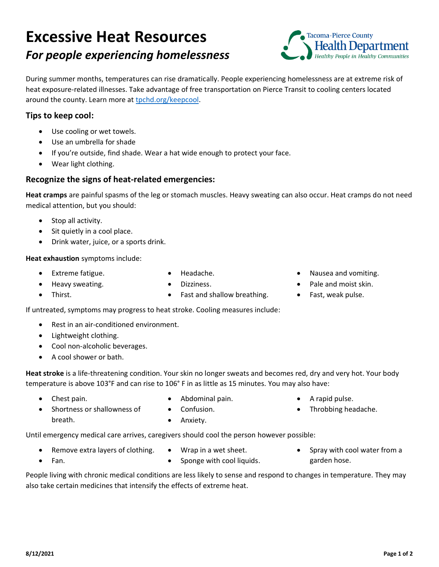# **Excessive Heat Resources** *For people experiencing homelessness*



During summer months, temperatures can rise dramatically. People experiencing homelessness are at extreme risk of heat exposure-related illnesses. Take advantage of free transportation on Pierce Transit to cooling centers located around the county. Learn more at [tpchd.org/keepcool.](https://www.tpchd.org/keepcool)

### **Tips to keep cool:**

- Use cooling or wet towels.
- Use an umbrella for shade
- If you're outside, find shade. Wear a hat wide enough to protect your face.
- Wear light clothing.

### **Recognize the signs of heat-related emergencies:**

**Heat cramps** are painful spasms of the leg or stomach muscles. Heavy sweating can also occur. Heat cramps do not need medical attention, but you should:

- Stop all activity.
- Sit quietly in a cool place.
- Drink water, juice, or a sports drink.

#### **Heat exhaustion** symptoms include:

• Extreme fatigue.

• Headache.

• Heavy sweating.

• Thirst.

• Dizziness.

- 
- Fast and shallow breathing.
- Nausea and vomiting.
- Pale and moist skin.
- Fast, weak pulse.

If untreated, symptoms may progress to heat stroke. Cooling measures include:

- Rest in an air-conditioned environment.
- Lightweight clothing.
- Cool non-alcoholic beverages.
- A cool shower or bath.

**Heat stroke** is a life-threatening condition. Your skin no longer sweats and becomes red, dry and very hot. Your body temperature is above 103°F and can rise to 106° F in as little as 15 minutes. You may also have:

Chest pain.

• Fan.

• Abdominal pain.

- A rapid pulse.
- Throbbing headache.
- Shortness or shallowness of breath.
- Confusion. • Anxiety.

Until emergency medical care arrives, caregivers should cool the person however possible:

- Remove extra layers of clothing.
- Wrap in a wet sheet. Sponge with cool liquids.
- Spray with cool water from a garden hose.

People living with chronic medical conditions are less likely to sense and respond to changes in temperature. They may also take certain medicines that intensify the effects of extreme heat.